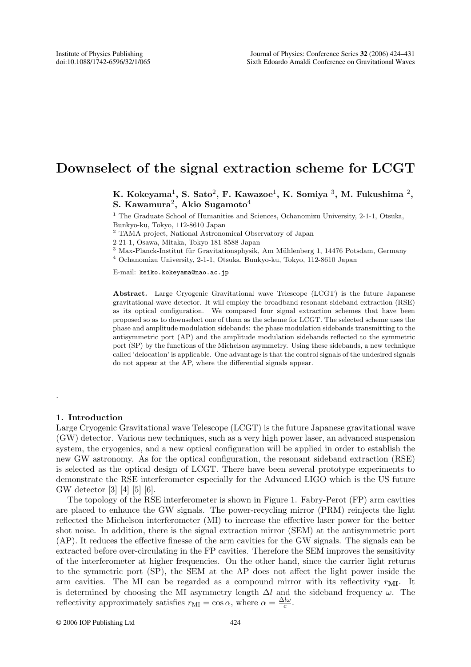# **Downselect of the signal extraction scheme for LCGT**

**K. Kokeyama**1**, S. Sato**2**, F. Kawazoe**1**, K. Somiya** <sup>3</sup>**, M. Fukushima** <sup>2</sup>**, S. Kawamura**2**, Akio Sugamoto**<sup>4</sup>

<sup>1</sup> The Graduate School of Humanities and Sciences, Ochanomizu University, 2-1-1, Otsuka, Bunkyo-ku, Tokyo, 112-8610 Japan

<sup>2</sup> TAMA project, National Astronomical Observatory of Japan

2-21-1, Osawa, Mitaka, Tokyo 181-8588 Japan

 $3$  Max-Planck-Institut für Gravitationsphysik, Am Mühlenberg 1, 14476 Potsdam, Germany

<sup>4</sup> Ochanomizu University, 2-1-1, Otsuka, Bunkyo-ku, Tokyo, 112-8610 Japan

E-mail: keiko.kokeyama@nao.ac.jp

**Abstract.** Large Cryogenic Gravitational wave Telescope (LCGT) is the future Japanese gravitational-wave detector. It will employ the broadband resonant sideband extraction (RSE) as its optical configuration. We compared four signal extraction schemes that have been proposed so as to downselect one of them as the scheme for LCGT. The selected scheme uses the phase and amplitude modulation sidebands: the phase modulation sidebands transmitting to the antisymmetric port (AP) and the amplitude modulation sidebands reflected to the symmetric port (SP) by the functions of the Michelson asymmetry. Using these sidebands, a new technique called 'delocation' is applicable. One advantage is that the control signals of the undesired signals do not appear at the AP, where the differential signals appear.

## **1. Introduction**

.

Large Cryogenic Gravitational wave Telescope (LCGT) is the future Japanese gravitational wave (GW) detector. Various new techniques, such as a very high power laser, an advanced suspension system, the cryogenics, and a new optical configuration will be applied in order to establish the new GW astronomy. As for the optical configuration, the resonant sideband extraction (RSE) is selected as the optical design of LCGT. There have been several prototype experiments to demonstrate the RSE interferometer especially for the Advanced LIGO which is the US future GW detector [3] [4] [5] [6].

The topology of the RSE interferometer is shown in Figure 1. Fabry-Perot (FP) arm cavities are placed to enhance the GW signals. The power-recycling mirror (PRM) reinjects the light reflected the Michelson interferometer (MI) to increase the effective laser power for the better shot noise. In addition, there is the signal extraction mirror (SEM) at the antisymmetric port (AP). It reduces the effective finesse of the arm cavities for the GW signals. The signals can be extracted before over-circulating in the FP cavities. Therefore the SEM improves the sensitivity of the interferometer at higher frequencies. On the other hand, since the carrier light returns to the symmetric port (SP), the SEM at the AP does not affect the light power inside the arm cavities. The MI can be regarded as a compound mirror with its reflectivity  $r_{\text{MI}}$ . It is determined by choosing the MI asymmetry length  $\Delta l$  and the sideband frequency  $\omega$ . The reflectivity approximately satisfies  $r_{\text{MI}} = \cos \alpha$ , where  $\alpha = \frac{\Delta l \omega}{c}$ .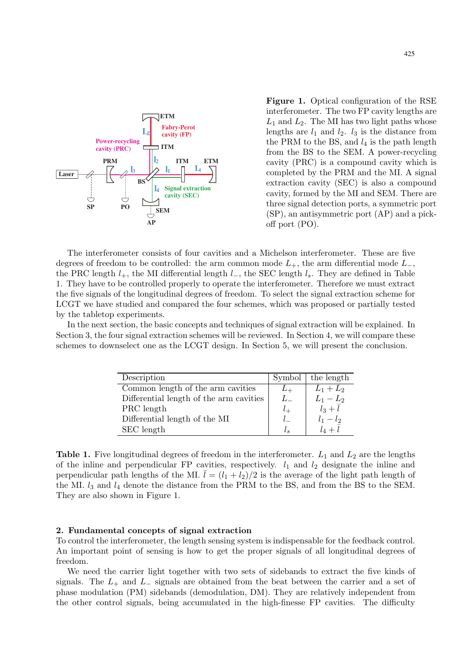

**Figure 1.** Optical configuration of the RSE interferometer. The two FP cavity lengths are  $L_1$  and  $L_2$ . The MI has two light paths whose lengths are  $l_1$  and  $l_2$ .  $l_3$  is the distance from the PRM to the BS, and  $l_4$  is the path length from the BS to the SEM. A power-recycling cavity (PRC) is a compound cavity which is completed by the PRM and the MI. A signal extraction cavity (SEC) is also a compound cavity, formed by the MI and SEM. There are three signal detection ports, a symmetric port (SP), an antisymmetric port (AP) and a pickoff port (PO).

The interferometer consists of four cavities and a Michelson interferometer. These are five degrees of freedom to be controlled: the arm common mode  $L_{+}$ , the arm differential mode  $L_{-}$ , the PRC length  $l_{+}$ , the MI differential length  $l_{-}$ , the SEC length  $l_{s}$ . They are defined in Table 1. They have to be controlled properly to operate the interferometer. Therefore we must extract the five signals of the longitudinal degrees of freedom. To select the signal extraction scheme for LCGT we have studied and compared the four schemes, which was proposed or partially tested by the tabletop experiments.

In the next section, the basic concepts and techniques of signal extraction will be explained. In Section 3, the four signal extraction schemes will be reviewed. In Section 4, we will compare these schemes to downselect one as the LCGT design. In Section 5, we will present the conclusion.

| Description                             |         | Symbol   the length           |
|-----------------------------------------|---------|-------------------------------|
| Common length of the arm cavities       |         | $L_1 + L_2$                   |
| Differential length of the arm cavities | $L_{-}$ | $L_{1}-L_{2}$                 |
| PRC length                              |         | $\overline{l}_3+\overline{l}$ |
| Differential length of the MI           |         | $l_1 - l_2$                   |
| SEC length                              |         |                               |

**Table 1.** Five longitudinal degrees of freedom in the interferometer.  $L_1$  and  $L_2$  are the lengths of the inline and perpendicular FP cavities, respectively.  $l_1$  and  $l_2$  designate the inline and perpendicular path lengths of the MI.  $\bar{l} = (l_1 + l_2)/2$  is the average of the light path length of the MI.  $l_3$  and  $l_4$  denote the distance from the PRM to the BS, and from the BS to the SEM. They are also shown in Figure 1.

## **2. Fundamental concepts of signal extraction**

To control the interferometer, the length sensing system is indispensable for the feedback control. An important point of sensing is how to get the proper signals of all longitudinal degrees of freedom.

We need the carrier light together with two sets of sidebands to extract the five kinds of signals. The  $L_+$  and  $L_-$  signals are obtained from the beat between the carrier and a set of phase modulation (PM) sidebands (demodulation, DM). They are relatively independent from the other control signals, being accumulated in the high-finesse FP cavities. The difficulty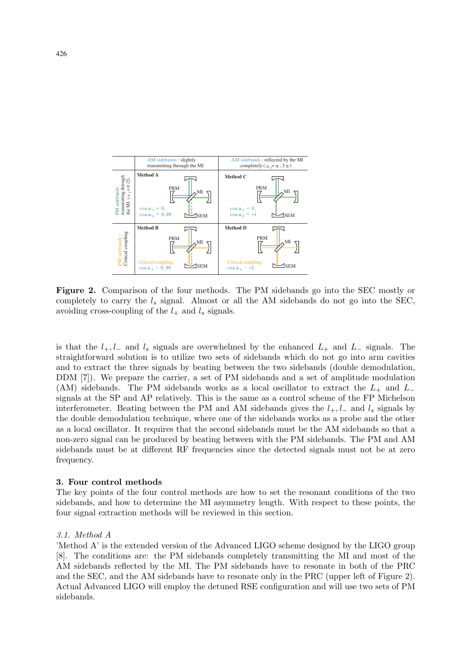

**Figure 2.** Comparison of the four methods. The PM sidebands go into the SEC mostly or completely to carry the  $l_s$  signal. Almost or all the AM sidebands do not go into the SEC, avoiding cross-coupling of the  $l_+$  and  $l_s$  signals.

is that the  $l_+, l_-$  and  $l_s$  signals are overwhelmed by the enhanced  $L_+$  and  $L_-$  signals. The straightforward solution is to utilize two sets of sidebands which do not go into arm cavities and to extract the three signals by beating between the two sidebands (double demodulation, DDM [7]). We prepare the carrier, a set of PM sidebands and a set of amplitude modulation (AM) sidebands. The PM sidebands works as a local oscillator to extract the  $L_{+}$  and  $L_{-}$ signals at the SP and AP relatively. This is the same as a control scheme of the FP Michelson interferometer. Beating between the PM and AM sidebands gives the  $l_+, l_-$  and  $l_s$  signals by the double demodulation technique, where one of the sidebands works as a probe and the other as a local oscillator. It requires that the second sidebands must be the AM sidebands so that a non-zero signal can be produced by beating between with the PM sidebands. The PM and AM sidebands must be at different RF frequencies since the detected signals must not be at zero frequency.

#### **3. Four control methods**

The key points of the four control methods are how to set the resonant conditions of the two sidebands, and how to determine the MI asymmetry length. With respect to these points, the four signal extraction methods will be reviewed in this section.

### 3.1. Method A

'Method A' is the extended version of the Advanced LIGO scheme designed by the LIGO group [8]. The conditions are: the PM sidebands completely transmitting the MI and most of the AM sidebands reflected by the MI. The PM sidebands have to resonate in both of the PRC and the SEC, and the AM sidebands have to resonate only in the PRC (upper left of Figure 2). Actual Advanced LIGO will employ the detuned RSE configuration and will use two sets of PM sidebands.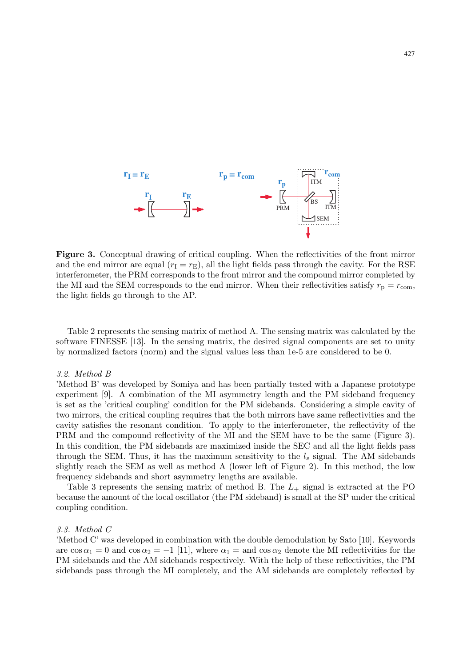

Figure 3. Conceptual drawing of critical coupling. When the reflectivities of the front mirror and the end mirror are equal  $(r_{\rm I} = r_{\rm E})$ , all the light fields pass through the cavity. For the RSE interferometer, the PRM corresponds to the front mirror and the compound mirror completed by the MI and the SEM corresponds to the end mirror. When their reflectivities satisfy  $r_p = r_{\text{com}}$ , the light fields go through to the AP.

Table 2 represents the sensing matrix of method A. The sensing matrix was calculated by the software FINESSE [13]. In the sensing matrix, the desired signal components are set to unity by normalized factors (norm) and the signal values less than 1e-5 are considered to be 0.

### 3.2. Method B

'Method B' was developed by Somiya and has been partially tested with a Japanese prototype experiment [9]. A combination of the MI asymmetry length and the PM sideband frequency is set as the 'critical coupling' condition for the PM sidebands. Considering a simple cavity of two mirrors, the critical coupling requires that the both mirrors have same reflectivities and the cavity satisfies the resonant condition. To apply to the interferometer, the reflectivity of the PRM and the compound reflectivity of the MI and the SEM have to be the same (Figure 3). In this condition, the PM sidebands are maximized inside the SEC and all the light fields pass through the SEM. Thus, it has the maximum sensitivity to the  $l_s$  signal. The AM sidebands slightly reach the SEM as well as method A (lower left of Figure 2). In this method, the low frequency sidebands and short asymmetry lengths are available.

Table 3 represents the sensing matrix of method B. The  $L_{+}$  signal is extracted at the PO because the amount of the local oscillator (the PM sideband) is small at the SP under the critical coupling condition.

#### 3.3. Method C

'Method C' was developed in combination with the double demodulation by Sato [10]. Keywords are  $\cos \alpha_1 = 0$  and  $\cos \alpha_2 = -1$  [11], where  $\alpha_1 =$  and  $\cos \alpha_2$  denote the MI reflectivities for the PM sidebands and the AM sidebands respectively. With the help of these reflectivities, the PM sidebands pass through the MI completely, and the AM sidebands are completely reflected by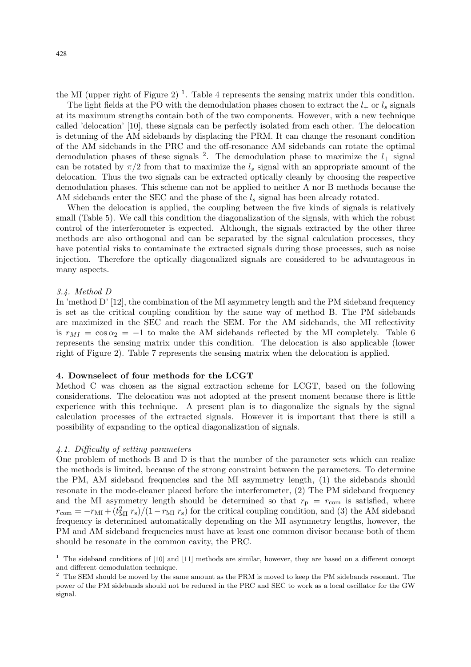the MI (upper right of Figure 2)<sup>1</sup>. Table 4 represents the sensing matrix under this condition.

The light fields at the PO with the demodulation phases chosen to extract the  $l_{+}$  or  $l_{s}$  signals at its maximum strengths contain both of the two components. However, with a new technique called 'delocation' [10], these signals can be perfectly isolated from each other. The delocation is detuning of the AM sidebands by displacing the PRM. It can change the resonant condition of the AM sidebands in the PRC and the off-resonance AM sidebands can rotate the optimal demodulation phases of these signals  $^2$ . The demodulation phase to maximize the  $l_{+}$  signal can be rotated by  $\pi/2$  from that to maximize the  $l_s$  signal with an appropriate amount of the delocation. Thus the two signals can be extracted optically cleanly by choosing the respective demodulation phases. This scheme can not be applied to neither A nor B methods because the AM sidebands enter the SEC and the phase of the  $l_s$  signal has been already rotated.

When the delocation is applied, the coupling between the five kinds of signals is relatively small (Table 5). We call this condition the diagonalization of the signals, with which the robust control of the interferometer is expected. Although, the signals extracted by the other three methods are also orthogonal and can be separated by the signal calculation processes, they have potential risks to contaminate the extracted signals during those processes, such as noise injection. Therefore the optically diagonalized signals are considered to be advantageous in many aspects.

### 3.4. Method D

In 'method D' [12], the combination of the MI asymmetry length and the PM sideband frequency is set as the critical coupling condition by the same way of method B. The PM sidebands are maximized in the SEC and reach the SEM. For the AM sidebands, the MI reflectivity is  $r_{MI} = \cos \alpha_2 = -1$  to make the AM sidebands reflected by the MI completely. Table 6 represents the sensing matrix under this condition. The delocation is also applicable (lower right of Figure 2). Table 7 represents the sensing matrix when the delocation is applied.

## **4. Downselect of four methods for the LCGT**

Method C was chosen as the signal extraction scheme for LCGT, based on the following considerations. The delocation was not adopted at the present moment because there is little experience with this technique. A present plan is to diagonalize the signals by the signal calculation processes of the extracted signals. However it is important that there is still a possibility of expanding to the optical diagonalization of signals.

## 4.1. Difficulty of setting parameters

One problem of methods B and D is that the number of the parameter sets which can realize the methods is limited, because of the strong constraint between the parameters. To determine the PM, AM sideband frequencies and the MI asymmetry length, (1) the sidebands should resonate in the mode-cleaner placed before the interferometer, (2) The PM sideband frequency and the MI asymmetry length should be determined so that  $r_p = r_{com}$  is satisfied, where  $r_{\text{com}} = -r_{\text{MI}} + (t_{\text{MI}}^2 r_{\text{s}})/(1 - r_{\text{MI}} r_{\text{s}})$  for the critical coupling condition, and (3) the AM sideband frequency is determined automatically depending on the MI asymmetry lengths, however, the PM and AM sideband frequencies must have at least one common divisor because both of them should be resonate in the common cavity, the PRC.

<sup>&</sup>lt;sup>1</sup> The sideband conditions of [10] and [11] methods are similar, however, they are based on a different concept and different demodulation technique.

<sup>&</sup>lt;sup>2</sup> The SEM should be moved by the same amount as the PRM is moved to keep the PM sidebands resonant. The power of the PM sidebands should not be reduced in the PRC and SEC to work as a local oscillator for the GW signal.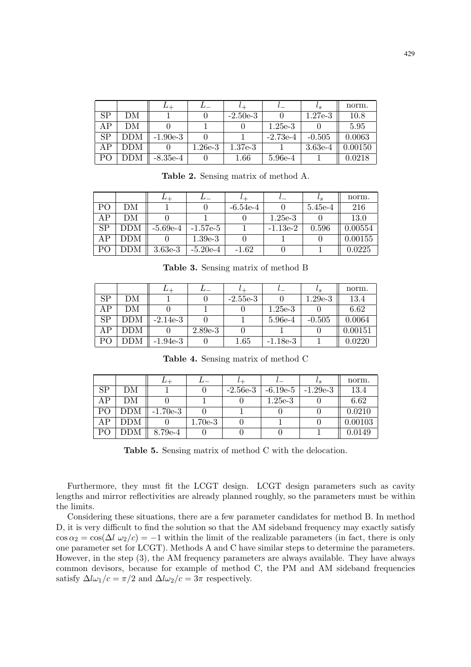|    |     | ⊥⊥         |           |            |            | $\iota_{S}$ | norm.   |
|----|-----|------------|-----------|------------|------------|-------------|---------|
| SP | DΜ  |            |           | $-2.50e-3$ |            | $1.27e-3$   | 10.8    |
| AΡ | DМ  |            |           |            | $1.25e-3$  |             | 5.95    |
| SP | DDM | $-1.90e-3$ |           |            | $-2.73e-4$ | $-0.505$    | 0.0063  |
| AΡ | DDM |            | $1.26e-3$ | $1.37e-3$  |            | $3.63e-4$   | 0.00150 |
| PO | DΜ  | $-8.35e-4$ |           | 1.66       | 5.96e-4    |             | 0.0218  |

**Table 2.** Sensing matrix of method A.

|                 |     |            |            |            |            | $\iota_s$ | norm.   |
|-----------------|-----|------------|------------|------------|------------|-----------|---------|
| P()             | DМ  |            |            | $-6.54e-4$ |            | 5.45e-4   | 216     |
| AP              | DМ  |            |            |            | $1.25e-3$  |           | 13.0    |
| $\overline{SP}$ | DDM | $-5.69e-4$ | $-1.57e-5$ |            | $-1.13e-2$ | 0.596     | 0.00554 |
| AP              | DDM |            | $1.39e-3$  |            |            |           | 0.00155 |
| P <sub>O</sub>  | DDM | $3.63e-3$  | $-5.20e-4$ | $-1.62$    |            |           | 0.0225  |

**Table 3.** Sensing matrix of method B

|           |            | $^{L+}$    |           |            |            | $\iota_{S}$ | norm.   |
|-----------|------------|------------|-----------|------------|------------|-------------|---------|
| <b>SP</b> | DΜ         |            |           | $-2.55e-3$ |            | $1.29e-3$   | 13.4    |
| AP        | DМ         |            |           |            | $1.25e-3$  |             | 6.62    |
| <b>SP</b> | $\tt{DDM}$ | $-2.14e-3$ |           |            | 5.96e-4    | $-0.505$    | 0.0064  |
| AΡ        | DDM        |            | $2.89e-3$ |            |            |             | 0.00151 |
| PO        | DDМ        | $-1.94e-3$ |           | 1.65       | $-1.18e-3$ |             | 0.0220  |

**Table 4.** Sensing matrix of method C

|                        |               |            |           | $\iota$ $+$ |            | $\iota_{S}$ | norm.   |
|------------------------|---------------|------------|-----------|-------------|------------|-------------|---------|
| $\overline{\text{SP}}$ | DΜ            |            |           | $-2.56e-3$  | $-6.19e-5$ | $-1.29e-3$  | 13.4    |
| ΑP                     | DМ            |            |           |             | $1.25e-3$  |             | 6.62    |
| PO                     | <b>DDM</b>    | $-1.70e-3$ |           |             |            |             | 0.0210  |
| ΑP                     | DDM           |            | $1.70e-3$ |             |            |             | 0.00103 |
| P <sub>O</sub>         | $_{\rm{DDM}}$ | 8.79e-4    |           |             |            |             | 0.0149  |

**Table 5.** Sensing matrix of method C with the delocation.

Furthermore, they must fit the LCGT design. LCGT design parameters such as cavity lengths and mirror reflectivities are already planned roughly, so the parameters must be within the limits.

Considering these situations, there are a few parameter candidates for method B. In method D, it is very difficult to find the solution so that the AM sideband frequency may exactly satisfy  $\cos \alpha_2 = \cos(\Delta l \omega_2/c) = -1$  within the limit of the realizable parameters (in fact, there is only one parameter set for LCGT). Methods A and C have similar steps to determine the parameters. However, in the step (3), the AM frequency parameters are always available. They have always common devisors, because for example of method C, the PM and AM sideband frequencies satisfy  $\Delta l\omega_1/c = \pi/2$  and  $\Delta l\omega_2/c = 3\pi$  respectively.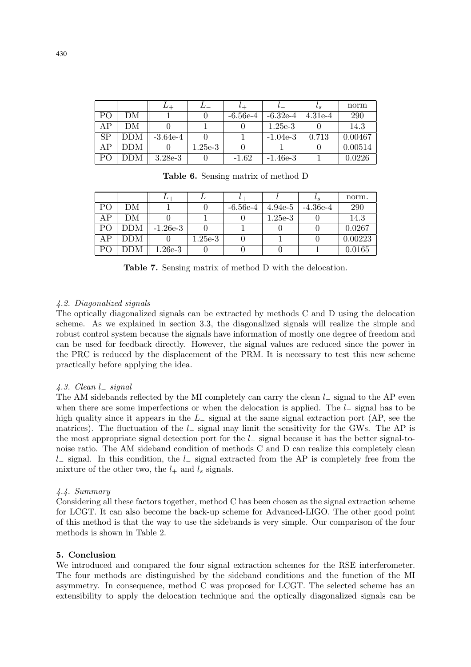|                |            | ⊥⊥         |           |            |            | $\iota_{S}$ | norm    |
|----------------|------------|------------|-----------|------------|------------|-------------|---------|
| P <sub>O</sub> | DΜ         |            |           | $-6.56e-4$ | $-6.32e-4$ | $4.31e-4$   | 290     |
| AΡ             | DМ         |            |           |            | $1.25e-3$  |             | 14.3    |
| SP             | <b>DDM</b> | $-3.64e-4$ |           |            | $-1.04e-3$ | 0.713       | 0.00467 |
| ΑP             | DDM        |            | $1.25e-3$ |            |            |             | 0.00514 |
| PO             | DDM        | $3.28e-3$  |           | $-1.62$    | $-1.46e-3$ |             | 0.0226  |

**Table 6.** Sensing matrix of method D

|                |            |            |           |            |           | υs         | norm.   |
|----------------|------------|------------|-----------|------------|-----------|------------|---------|
| P <sub>O</sub> | DМ         |            |           | $-6.56e-4$ | $4.94e-5$ | $-4.36e-4$ | 290     |
| AP             | DМ         |            |           |            | $1.25e-3$ |            | 14.3    |
| PO             | <b>DDM</b> | $-1.26e-3$ |           |            |           |            | 0.0267  |
| AP             | DDM        |            | $1.25e-3$ |            |           |            | 0.00223 |
| P <sub>O</sub> | DDM        | $1.26e-3$  |           |            |           |            | 0.0165  |

**Table 7.** Sensing matrix of method D with the delocation.

# 4.2. Diagonalized signals

The optically diagonalized signals can be extracted by methods C and D using the delocation scheme. As we explained in section 3.3, the diagonalized signals will realize the simple and robust control system because the signals have information of mostly one degree of freedom and can be used for feedback directly. However, the signal values are reduced since the power in the PRC is reduced by the displacement of the PRM. It is necessary to test this new scheme practically before applying the idea.

# 4.3. Clean l<sup>−</sup> signal

The AM sidebands reflected by the MI completely can carry the clean l– signal to the AP even when there are some imperfections or when the delocation is applied. The l<sup>−</sup> signal has to be high quality since it appears in the  $L_-\$  signal at the same signal extraction port (AP, see the matrices). The fluctuation of the  $l_-\$  signal may limit the sensitivity for the GWs. The AP is the most appropriate signal detection port for the l<sup>−</sup> signal because it has the better signal-tonoise ratio. The AM sideband condition of methods C and D can realize this completely clean l<sup>−</sup> signal. In this condition, the l<sup>−</sup> signal extracted from the AP is completely free from the mixture of the other two, the  $l_+$  and  $l_s$  signals.

# 4.4. Summary

Considering all these factors together, method C has been chosen as the signal extraction scheme for LCGT. It can also become the back-up scheme for Advanced-LIGO. The other good point of this method is that the way to use the sidebands is very simple. Our comparison of the four methods is shown in Table 2.

# **5. Conclusion**

We introduced and compared the four signal extraction schemes for the RSE interferometer. The four methods are distinguished by the sideband conditions and the function of the MI asymmetry. In consequence, method C was proposed for LCGT. The selected scheme has an extensibility to apply the delocation technique and the optically diagonalized signals can be